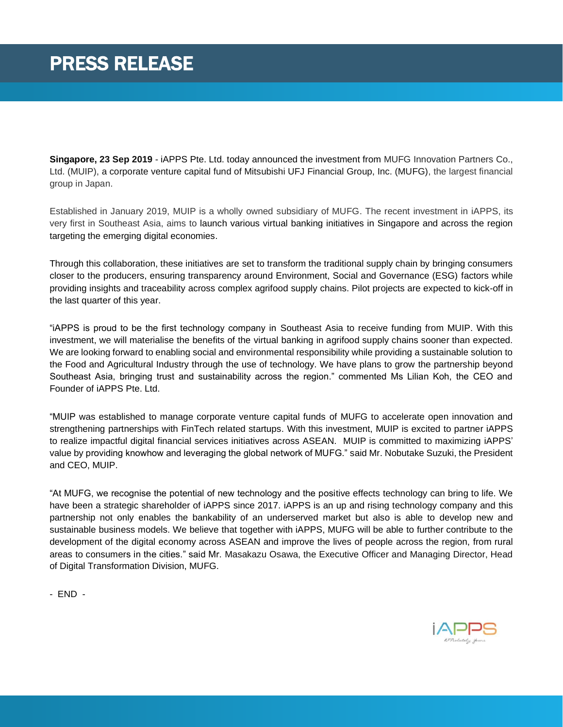**Singapore, 23 Sep 2019** - iAPPS Pte. Ltd. today announced the investment from MUFG Innovation Partners Co., Ltd. (MUIP), a corporate venture capital fund of Mitsubishi UFJ Financial Group, Inc. (MUFG), the largest financial group in Japan.

Established in January 2019, MUIP is a wholly owned subsidiary of MUFG. The recent investment in iAPPS, its very first in Southeast Asia, aims to launch various virtual banking initiatives in Singapore and across the region targeting the emerging digital economies.

Through this collaboration, these initiatives are set to transform the traditional supply chain by bringing consumers closer to the producers, ensuring transparency around Environment, Social and Governance (ESG) factors while providing insights and traceability across complex agrifood supply chains. Pilot projects are expected to kick-off in the last quarter of this year.

"iAPPS is proud to be the first technology company in Southeast Asia to receive funding from MUIP. With this investment, we will materialise the benefits of the virtual banking in agrifood supply chains sooner than expected. We are looking forward to enabling social and environmental responsibility while providing a sustainable solution to the Food and Agricultural Industry through the use of technology. We have plans to grow the partnership beyond Southeast Asia, bringing trust and sustainability across the region." commented Ms Lilian Koh, the CEO and Founder of iAPPS Pte. Ltd.

"MUIP was established to manage corporate venture capital funds of MUFG to accelerate open innovation and strengthening partnerships with FinTech related startups. With this investment, MUIP is excited to partner iAPPS to realize impactful digital financial services initiatives across ASEAN. MUIP is committed to maximizing iAPPS' value by providing knowhow and leveraging the global network of MUFG." said Mr. Nobutake Suzuki, the President and CEO, MUIP.

"At MUFG, we recognise the potential of new technology and the positive effects technology can bring to life. We have been a strategic shareholder of iAPPS since 2017. iAPPS is an up and rising technology company and this partnership not only enables the bankability of an underserved market but also is able to develop new and sustainable business models. We believe that together with iAPPS, MUFG will be able to further contribute to the development of the digital economy across ASEAN and improve the lives of people across the region, from rural areas to consumers in the cities." said Mr. Masakazu Osawa, the Executive Officer and Managing Director, Head of Digital Transformation Division, MUFG.

- END -